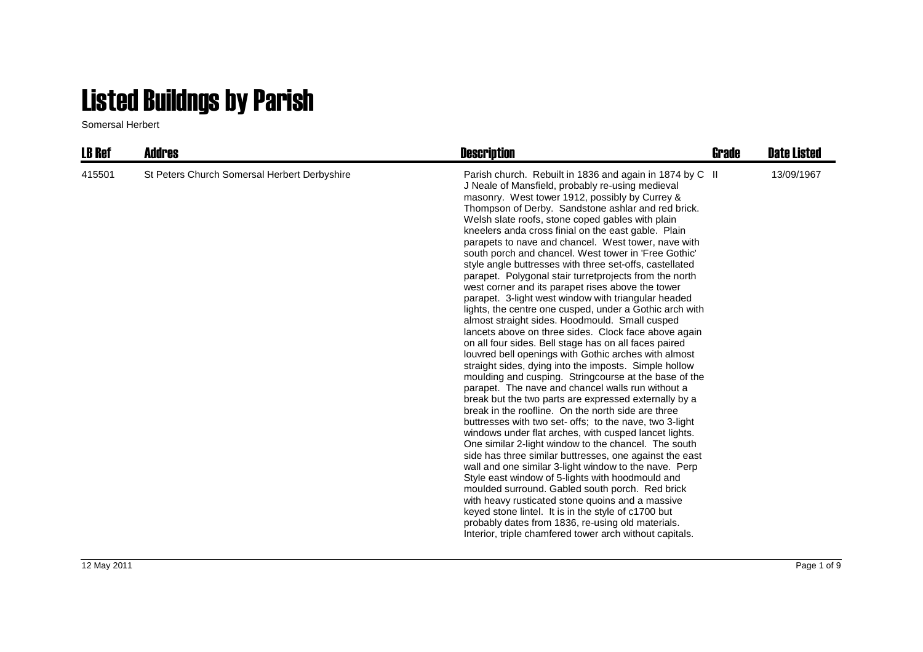## Listed Buildngs by Parish

Somersal Herbert

| <b>LB Ref</b> | <b>Addres</b>                                | <b>Description</b>                                                                                                                                                                                                                                                                                                                                                                                                                                                                                                                                                                                                                                                                                                                                                                                                                                                                                                                                                                                                                                                                                                                                                                                                                                                                                                                                                                                                                                                                                                                                                                                                                                                                                                                                                                                                                                                                            | Grade | <b>Date Listed</b> |
|---------------|----------------------------------------------|-----------------------------------------------------------------------------------------------------------------------------------------------------------------------------------------------------------------------------------------------------------------------------------------------------------------------------------------------------------------------------------------------------------------------------------------------------------------------------------------------------------------------------------------------------------------------------------------------------------------------------------------------------------------------------------------------------------------------------------------------------------------------------------------------------------------------------------------------------------------------------------------------------------------------------------------------------------------------------------------------------------------------------------------------------------------------------------------------------------------------------------------------------------------------------------------------------------------------------------------------------------------------------------------------------------------------------------------------------------------------------------------------------------------------------------------------------------------------------------------------------------------------------------------------------------------------------------------------------------------------------------------------------------------------------------------------------------------------------------------------------------------------------------------------------------------------------------------------------------------------------------------------|-------|--------------------|
| 415501        | St Peters Church Somersal Herbert Derbyshire | Parish church. Rebuilt in 1836 and again in 1874 by C II<br>J Neale of Mansfield, probably re-using medieval<br>masonry. West tower 1912, possibly by Currey &<br>Thompson of Derby. Sandstone ashlar and red brick.<br>Welsh slate roofs, stone coped gables with plain<br>kneelers anda cross finial on the east gable. Plain<br>parapets to nave and chancel. West tower, nave with<br>south porch and chancel. West tower in 'Free Gothic'<br>style angle buttresses with three set-offs, castellated<br>parapet. Polygonal stair turretprojects from the north<br>west corner and its parapet rises above the tower<br>parapet. 3-light west window with triangular headed<br>lights, the centre one cusped, under a Gothic arch with<br>almost straight sides. Hoodmould. Small cusped<br>lancets above on three sides. Clock face above again<br>on all four sides. Bell stage has on all faces paired<br>louvred bell openings with Gothic arches with almost<br>straight sides, dying into the imposts. Simple hollow<br>moulding and cusping. Stringcourse at the base of the<br>parapet. The nave and chancel walls run without a<br>break but the two parts are expressed externally by a<br>break in the roofline. On the north side are three<br>buttresses with two set- offs; to the nave, two 3-light<br>windows under flat arches, with cusped lancet lights.<br>One similar 2-light window to the chancel. The south<br>side has three similar buttresses, one against the east<br>wall and one similar 3-light window to the nave. Perp<br>Style east window of 5-lights with hoodmould and<br>moulded surround. Gabled south porch. Red brick<br>with heavy rusticated stone quoins and a massive<br>keyed stone lintel. It is in the style of c1700 but<br>probably dates from 1836, re-using old materials.<br>Interior, triple chamfered tower arch without capitals. |       | 13/09/1967         |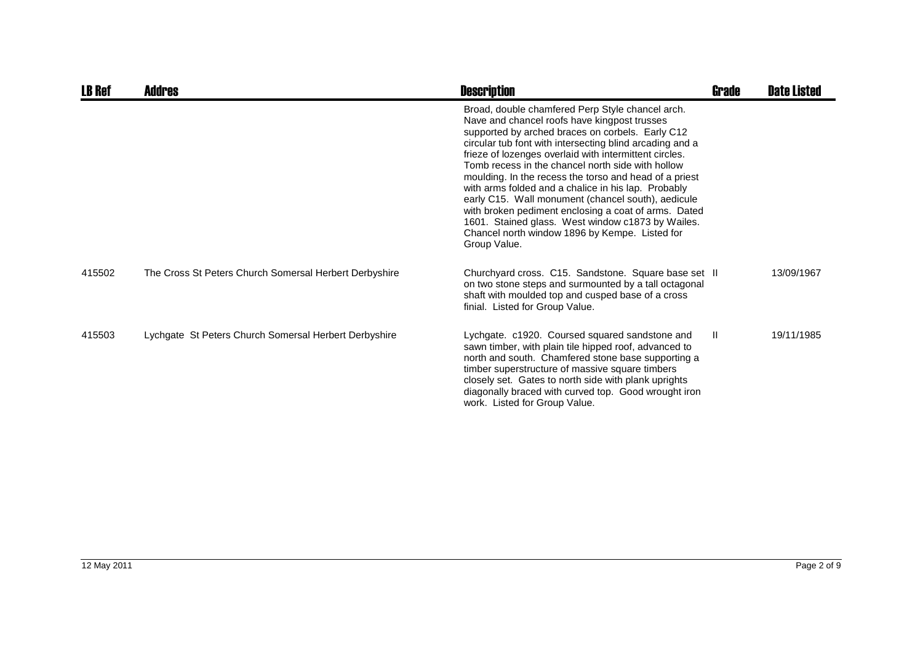| <b>LB Ref</b> | <b>Addres</b>                                          | <b>Description</b>                                                                                                                                                                                                                                                                                                                                                                                                                                                                                                                                                                                                                                                                    | <b>Grade</b> | <b>Date Listed</b> |
|---------------|--------------------------------------------------------|---------------------------------------------------------------------------------------------------------------------------------------------------------------------------------------------------------------------------------------------------------------------------------------------------------------------------------------------------------------------------------------------------------------------------------------------------------------------------------------------------------------------------------------------------------------------------------------------------------------------------------------------------------------------------------------|--------------|--------------------|
|               |                                                        | Broad, double chamfered Perp Style chancel arch.<br>Nave and chancel roofs have kingpost trusses<br>supported by arched braces on corbels. Early C12<br>circular tub font with intersecting blind arcading and a<br>frieze of lozenges overlaid with intermittent circles.<br>Tomb recess in the chancel north side with hollow<br>moulding. In the recess the torso and head of a priest<br>with arms folded and a chalice in his lap. Probably<br>early C15. Wall monument (chancel south), aedicule<br>with broken pediment enclosing a coat of arms. Dated<br>1601. Stained glass. West window c1873 by Wailes.<br>Chancel north window 1896 by Kempe. Listed for<br>Group Value. |              |                    |
| 415502        | The Cross St Peters Church Somersal Herbert Derbyshire | Churchyard cross. C15. Sandstone. Square base set II<br>on two stone steps and surmounted by a tall octagonal<br>shaft with moulded top and cusped base of a cross<br>finial. Listed for Group Value.                                                                                                                                                                                                                                                                                                                                                                                                                                                                                 |              | 13/09/1967         |
| 415503        | Lychgate St Peters Church Somersal Herbert Derbyshire  | Lychgate. c1920. Coursed squared sandstone and<br>sawn timber, with plain tile hipped roof, advanced to<br>north and south. Chamfered stone base supporting a<br>timber superstructure of massive square timbers<br>closely set. Gates to north side with plank uprights<br>diagonally braced with curved top. Good wrought iron<br>work. Listed for Group Value.                                                                                                                                                                                                                                                                                                                     | $\mathbf{I}$ | 19/11/1985         |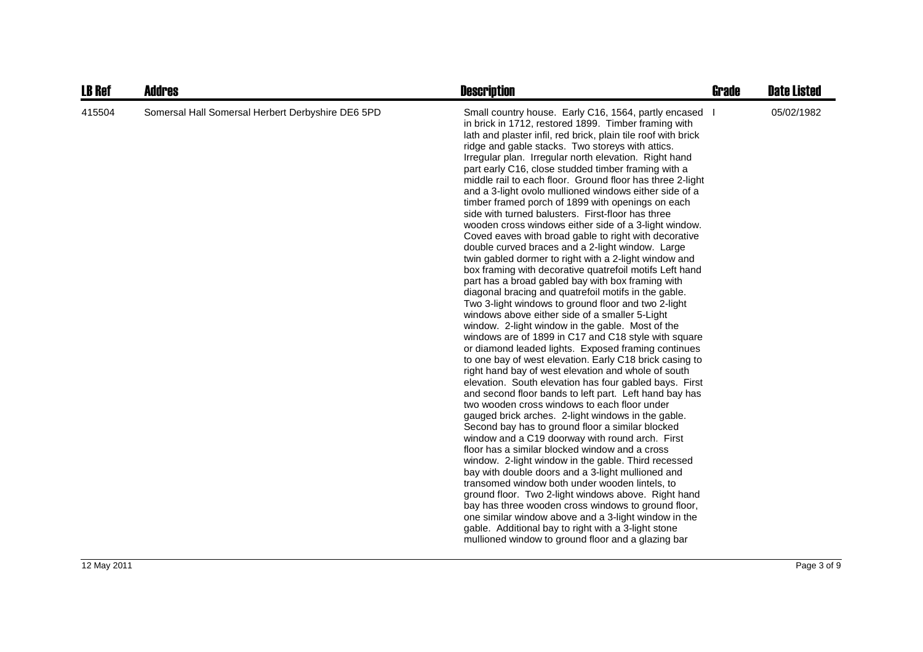| <b>LB Ref</b> | <b>Addres</b>                                     | <b>Description</b>                                                                                                                                                                                                                                                                                                                                                                                                                                                                                                                                                                                                                                                                                                                                                                                                                                                                                                                                                                                                                                                                                                                                                                                                                                                                                                                                                                                                                                                                                                                                                                                                                                                                                                                                                                                                                                                                                                                                                                                                                                                                                                                                                                                                          | <b>Grade</b> | <b>Date Listed</b> |
|---------------|---------------------------------------------------|-----------------------------------------------------------------------------------------------------------------------------------------------------------------------------------------------------------------------------------------------------------------------------------------------------------------------------------------------------------------------------------------------------------------------------------------------------------------------------------------------------------------------------------------------------------------------------------------------------------------------------------------------------------------------------------------------------------------------------------------------------------------------------------------------------------------------------------------------------------------------------------------------------------------------------------------------------------------------------------------------------------------------------------------------------------------------------------------------------------------------------------------------------------------------------------------------------------------------------------------------------------------------------------------------------------------------------------------------------------------------------------------------------------------------------------------------------------------------------------------------------------------------------------------------------------------------------------------------------------------------------------------------------------------------------------------------------------------------------------------------------------------------------------------------------------------------------------------------------------------------------------------------------------------------------------------------------------------------------------------------------------------------------------------------------------------------------------------------------------------------------------------------------------------------------------------------------------------------------|--------------|--------------------|
| 415504        | Somersal Hall Somersal Herbert Derbyshire DE6 5PD | Small country house. Early C16, 1564, partly encased<br>in brick in 1712, restored 1899. Timber framing with<br>lath and plaster infil, red brick, plain tile roof with brick<br>ridge and gable stacks. Two storeys with attics.<br>Irregular plan. Irregular north elevation. Right hand<br>part early C16, close studded timber framing with a<br>middle rail to each floor. Ground floor has three 2-light<br>and a 3-light ovolo mullioned windows either side of a<br>timber framed porch of 1899 with openings on each<br>side with turned balusters. First-floor has three<br>wooden cross windows either side of a 3-light window.<br>Coved eaves with broad gable to right with decorative<br>double curved braces and a 2-light window. Large<br>twin gabled dormer to right with a 2-light window and<br>box framing with decorative quatrefoil motifs Left hand<br>part has a broad gabled bay with box framing with<br>diagonal bracing and quatrefoil motifs in the gable.<br>Two 3-light windows to ground floor and two 2-light<br>windows above either side of a smaller 5-Light<br>window. 2-light window in the gable. Most of the<br>windows are of 1899 in C17 and C18 style with square<br>or diamond leaded lights. Exposed framing continues<br>to one bay of west elevation. Early C18 brick casing to<br>right hand bay of west elevation and whole of south<br>elevation. South elevation has four gabled bays. First<br>and second floor bands to left part. Left hand bay has<br>two wooden cross windows to each floor under<br>gauged brick arches. 2-light windows in the gable.<br>Second bay has to ground floor a similar blocked<br>window and a C19 doorway with round arch. First<br>floor has a similar blocked window and a cross<br>window. 2-light window in the gable. Third recessed<br>bay with double doors and a 3-light mullioned and<br>transomed window both under wooden lintels, to<br>ground floor. Two 2-light windows above. Right hand<br>bay has three wooden cross windows to ground floor,<br>one similar window above and a 3-light window in the<br>gable. Additional bay to right with a 3-light stone<br>mullioned window to ground floor and a glazing bar |              | 05/02/1982         |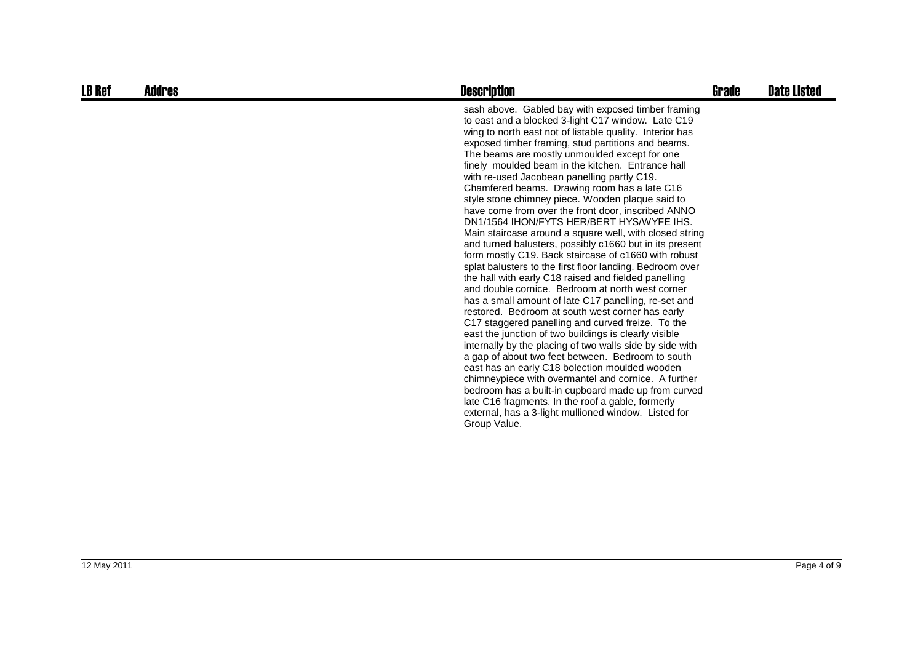| <b>LB Ref</b> | Addres | <b>Description</b>                                                                                                                                                                                                                                                                                                                                                                                                                                                                                                                                                                                                                                                                                                                                                                                                                                                                                                                                                                                                                                                                                                                                                                                                                                                                                                                                                                                                                                                                                                                                                                   | Grade | <b>Date Listed</b> |
|---------------|--------|--------------------------------------------------------------------------------------------------------------------------------------------------------------------------------------------------------------------------------------------------------------------------------------------------------------------------------------------------------------------------------------------------------------------------------------------------------------------------------------------------------------------------------------------------------------------------------------------------------------------------------------------------------------------------------------------------------------------------------------------------------------------------------------------------------------------------------------------------------------------------------------------------------------------------------------------------------------------------------------------------------------------------------------------------------------------------------------------------------------------------------------------------------------------------------------------------------------------------------------------------------------------------------------------------------------------------------------------------------------------------------------------------------------------------------------------------------------------------------------------------------------------------------------------------------------------------------------|-------|--------------------|
|               |        | sash above. Gabled bay with exposed timber framing<br>to east and a blocked 3-light C17 window. Late C19<br>wing to north east not of listable quality. Interior has<br>exposed timber framing, stud partitions and beams.<br>The beams are mostly unmoulded except for one<br>finely moulded beam in the kitchen. Entrance hall<br>with re-used Jacobean panelling partly C19.<br>Chamfered beams. Drawing room has a late C16<br>style stone chimney piece. Wooden plaque said to<br>have come from over the front door, inscribed ANNO<br>DN1/1564 IHON/FYTS HER/BERT HYS/WYFE IHS.<br>Main staircase around a square well, with closed string<br>and turned balusters, possibly c1660 but in its present<br>form mostly C19. Back staircase of c1660 with robust<br>splat balusters to the first floor landing. Bedroom over<br>the hall with early C18 raised and fielded panelling<br>and double cornice. Bedroom at north west corner<br>has a small amount of late C17 panelling, re-set and<br>restored. Bedroom at south west corner has early<br>C17 staggered panelling and curved freize. To the<br>east the junction of two buildings is clearly visible<br>internally by the placing of two walls side by side with<br>a gap of about two feet between. Bedroom to south<br>east has an early C18 bolection moulded wooden<br>chimneypiece with overmantel and cornice. A further<br>bedroom has a built-in cupboard made up from curved<br>late C16 fragments. In the roof a gable, formerly<br>external, has a 3-light mullioned window. Listed for<br>Group Value. |       |                    |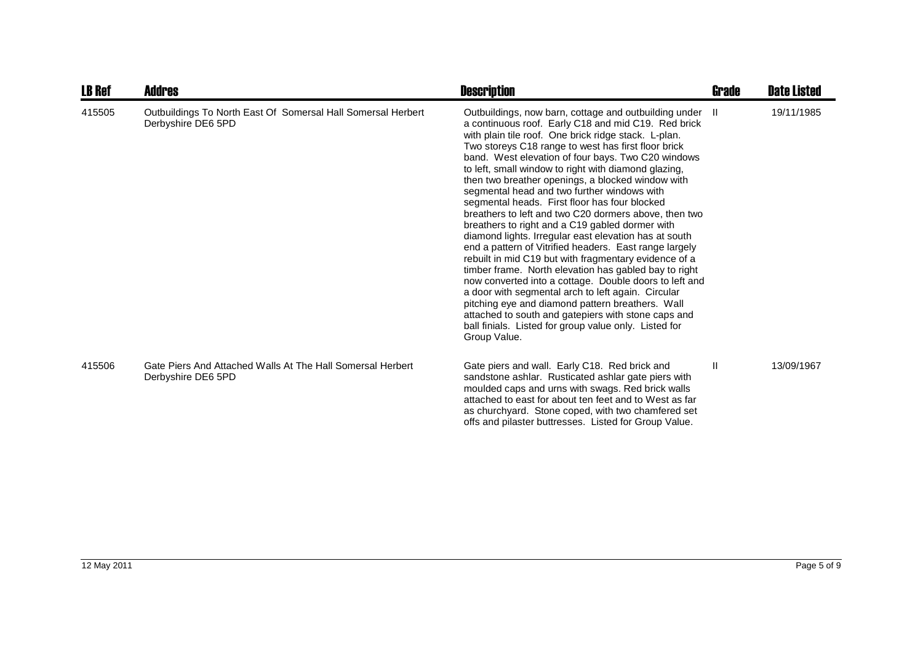| <b>LB Ref</b> | Addres                                                                             | <b>Description</b>                                                                                                                                                                                                                                                                                                                                                                                                                                                                                                                                                                                                                                                                                                                                                                                                                                                                                                                                                                                                                                                                                                                                     | Grade | <b>Date Listed</b> |
|---------------|------------------------------------------------------------------------------------|--------------------------------------------------------------------------------------------------------------------------------------------------------------------------------------------------------------------------------------------------------------------------------------------------------------------------------------------------------------------------------------------------------------------------------------------------------------------------------------------------------------------------------------------------------------------------------------------------------------------------------------------------------------------------------------------------------------------------------------------------------------------------------------------------------------------------------------------------------------------------------------------------------------------------------------------------------------------------------------------------------------------------------------------------------------------------------------------------------------------------------------------------------|-------|--------------------|
| 415505        | Outbuildings To North East Of Somersal Hall Somersal Herbert<br>Derbyshire DE6 5PD | Outbuildings, now barn, cottage and outbuilding under II<br>a continuous roof. Early C18 and mid C19. Red brick<br>with plain tile roof. One brick ridge stack. L-plan.<br>Two storeys C18 range to west has first floor brick<br>band. West elevation of four bays. Two C20 windows<br>to left, small window to right with diamond glazing,<br>then two breather openings, a blocked window with<br>segmental head and two further windows with<br>segmental heads. First floor has four blocked<br>breathers to left and two C20 dormers above, then two<br>breathers to right and a C19 gabled dormer with<br>diamond lights. Irregular east elevation has at south<br>end a pattern of Vitrified headers. East range largely<br>rebuilt in mid C19 but with fragmentary evidence of a<br>timber frame. North elevation has gabled bay to right<br>now converted into a cottage. Double doors to left and<br>a door with segmental arch to left again. Circular<br>pitching eye and diamond pattern breathers. Wall<br>attached to south and gatepiers with stone caps and<br>ball finials. Listed for group value only. Listed for<br>Group Value. |       | 19/11/1985         |
| 415506        | Gate Piers And Attached Walls At The Hall Somersal Herbert<br>Derbyshire DE6 5PD   | Gate piers and wall. Early C18. Red brick and<br>sandstone ashlar. Rusticated ashlar gate piers with<br>moulded caps and urns with swags. Red brick walls<br>attached to east for about ten feet and to West as far<br>as churchyard. Stone coped, with two chamfered set<br>offs and pilaster buttresses. Listed for Group Value.                                                                                                                                                                                                                                                                                                                                                                                                                                                                                                                                                                                                                                                                                                                                                                                                                     | Ш     | 13/09/1967         |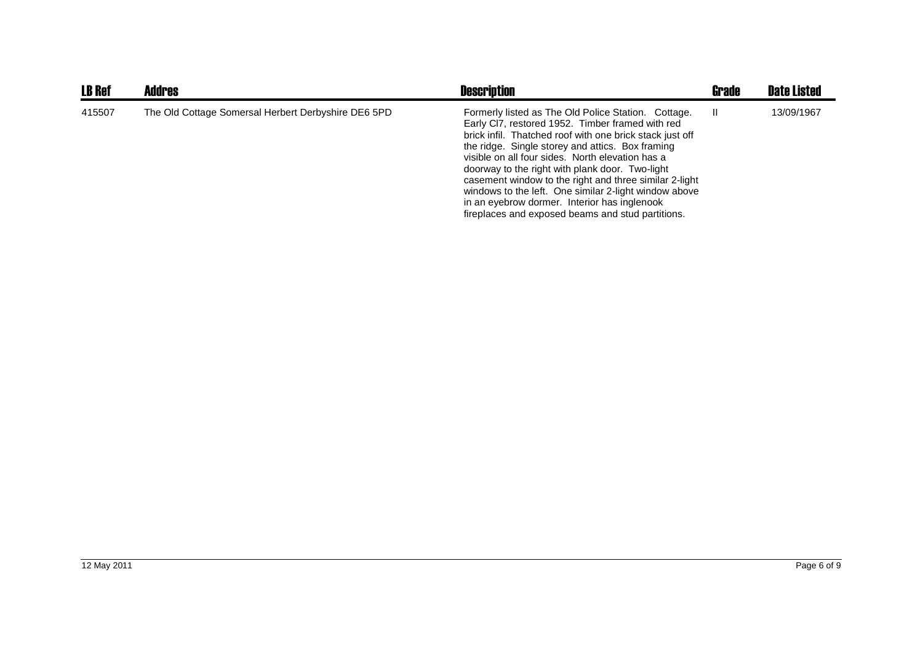| <b>LB Ref</b> | <b>Addres</b>                                       | <b>Description</b>                                                                                                                                                                                                                                                                                                                                                                                                                                                                                                                                     | <b>Grade</b> | <b>Date Listed</b> |
|---------------|-----------------------------------------------------|--------------------------------------------------------------------------------------------------------------------------------------------------------------------------------------------------------------------------------------------------------------------------------------------------------------------------------------------------------------------------------------------------------------------------------------------------------------------------------------------------------------------------------------------------------|--------------|--------------------|
| 415507        | The Old Cottage Somersal Herbert Derbyshire DE6 5PD | Formerly listed as The Old Police Station. Cottage.<br>Early CI7, restored 1952. Timber framed with red<br>brick infil. Thatched roof with one brick stack just off<br>the ridge. Single storey and attics. Box framing<br>visible on all four sides. North elevation has a<br>doorway to the right with plank door. Two-light<br>casement window to the right and three similar 2-light<br>windows to the left. One similar 2-light window above<br>in an eyebrow dormer. Interior has inglenook<br>fireplaces and exposed beams and stud partitions. |              | 13/09/1967         |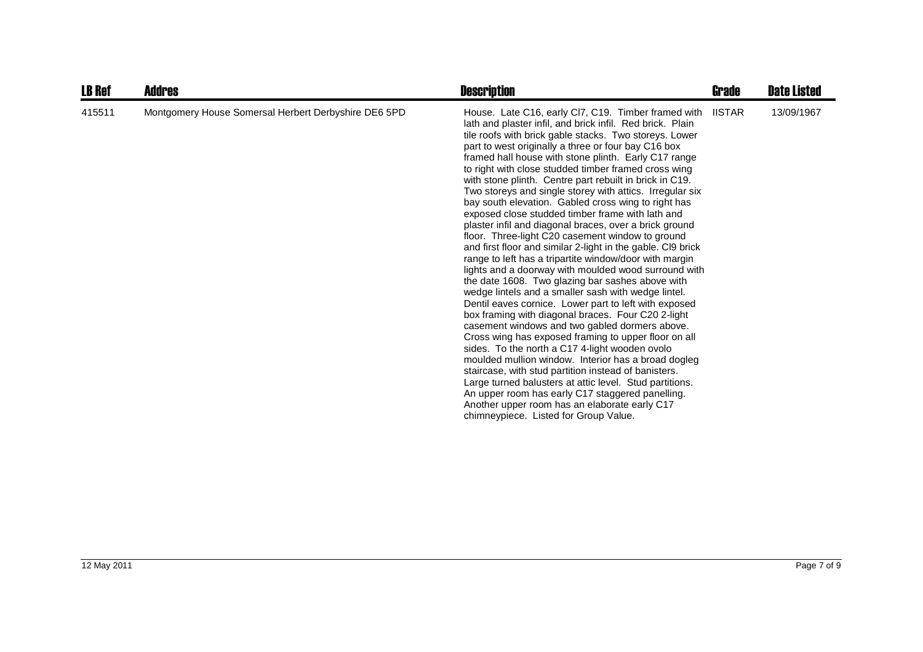| <b>LB Ref</b> | Addres                                               | <b>Description</b>                                                                                                                                                                                                                                                                                                                                                                                                                                                                                                                                                                                                                                                                                                                                                                                                                                                                                                                                                                                                                                                                                                                                                                                                                                                                                                                                                                                                                                                                                                                                                                               | Grade         | <b>Date Listed</b> |
|---------------|------------------------------------------------------|--------------------------------------------------------------------------------------------------------------------------------------------------------------------------------------------------------------------------------------------------------------------------------------------------------------------------------------------------------------------------------------------------------------------------------------------------------------------------------------------------------------------------------------------------------------------------------------------------------------------------------------------------------------------------------------------------------------------------------------------------------------------------------------------------------------------------------------------------------------------------------------------------------------------------------------------------------------------------------------------------------------------------------------------------------------------------------------------------------------------------------------------------------------------------------------------------------------------------------------------------------------------------------------------------------------------------------------------------------------------------------------------------------------------------------------------------------------------------------------------------------------------------------------------------------------------------------------------------|---------------|--------------------|
| 415511        | Montgomery House Somersal Herbert Derbyshire DE6 5PD | House. Late C16, early Cl7, C19. Timber framed with<br>lath and plaster infil, and brick infil. Red brick. Plain<br>tile roofs with brick gable stacks. Two storeys. Lower<br>part to west originally a three or four bay C16 box<br>framed hall house with stone plinth. Early C17 range<br>to right with close studded timber framed cross wing<br>with stone plinth. Centre part rebuilt in brick in C19.<br>Two storeys and single storey with attics. Irregular six<br>bay south elevation. Gabled cross wing to right has<br>exposed close studded timber frame with lath and<br>plaster infil and diagonal braces, over a brick ground<br>floor. Three-light C20 casement window to ground<br>and first floor and similar 2-light in the gable. CI9 brick<br>range to left has a tripartite window/door with margin<br>lights and a doorway with moulded wood surround with<br>the date 1608. Two glazing bar sashes above with<br>wedge lintels and a smaller sash with wedge lintel.<br>Dentil eaves cornice. Lower part to left with exposed<br>box framing with diagonal braces. Four C20 2-light<br>casement windows and two gabled dormers above.<br>Cross wing has exposed framing to upper floor on all<br>sides. To the north a C17 4-light wooden ovolo<br>moulded mullion window. Interior has a broad dogleg<br>staircase, with stud partition instead of banisters.<br>Large turned balusters at attic level. Stud partitions.<br>An upper room has early C17 staggered panelling.<br>Another upper room has an elaborate early C17<br>chimneypiece. Listed for Group Value. | <b>IISTAR</b> | 13/09/1967         |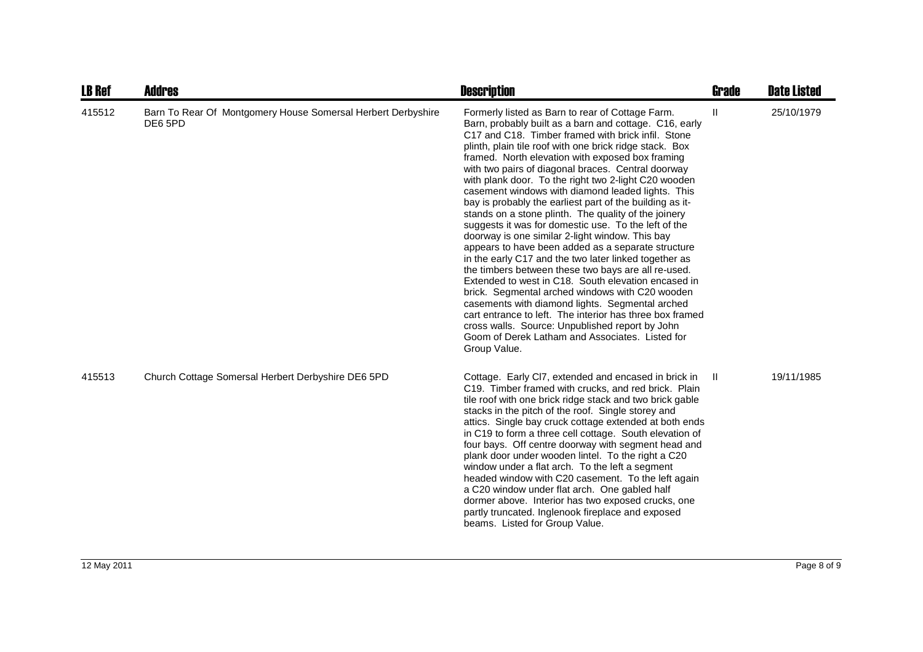| <b>LB Ref</b> | <b>Addres</b>                                                           | <b>Description</b>                                                                                                                                                                                                                                                                                                                                                                                                                                                                                                                                                                                                                                                                                                                                                                                                                                                                                                                                                                                                                                                                                                                                                                                     | <b>Grade</b> | <b>Date Listed</b> |
|---------------|-------------------------------------------------------------------------|--------------------------------------------------------------------------------------------------------------------------------------------------------------------------------------------------------------------------------------------------------------------------------------------------------------------------------------------------------------------------------------------------------------------------------------------------------------------------------------------------------------------------------------------------------------------------------------------------------------------------------------------------------------------------------------------------------------------------------------------------------------------------------------------------------------------------------------------------------------------------------------------------------------------------------------------------------------------------------------------------------------------------------------------------------------------------------------------------------------------------------------------------------------------------------------------------------|--------------|--------------------|
| 415512        | Barn To Rear Of Montgomery House Somersal Herbert Derbyshire<br>DE6 5PD | Formerly listed as Barn to rear of Cottage Farm.<br>Barn, probably built as a barn and cottage. C16, early<br>C17 and C18. Timber framed with brick infil. Stone<br>plinth, plain tile roof with one brick ridge stack. Box<br>framed. North elevation with exposed box framing<br>with two pairs of diagonal braces. Central doorway<br>with plank door. To the right two 2-light C20 wooden<br>casement windows with diamond leaded lights. This<br>bay is probably the earliest part of the building as it-<br>stands on a stone plinth. The quality of the joinery<br>suggests it was for domestic use. To the left of the<br>doorway is one similar 2-light window. This bay<br>appears to have been added as a separate structure<br>in the early C17 and the two later linked together as<br>the timbers between these two bays are all re-used.<br>Extended to west in C18. South elevation encased in<br>brick. Segmental arched windows with C20 wooden<br>casements with diamond lights. Segmental arched<br>cart entrance to left. The interior has three box framed<br>cross walls. Source: Unpublished report by John<br>Goom of Derek Latham and Associates. Listed for<br>Group Value. | Ш            | 25/10/1979         |
| 415513        | Church Cottage Somersal Herbert Derbyshire DE6 5PD                      | Cottage. Early CI7, extended and encased in brick in<br>C19. Timber framed with crucks, and red brick. Plain<br>tile roof with one brick ridge stack and two brick gable<br>stacks in the pitch of the roof. Single storey and<br>attics. Single bay cruck cottage extended at both ends<br>in C19 to form a three cell cottage. South elevation of<br>four bays. Off centre doorway with segment head and<br>plank door under wooden lintel. To the right a C20<br>window under a flat arch. To the left a segment<br>headed window with C20 casement. To the left again<br>a C20 window under flat arch. One gabled half<br>dormer above. Interior has two exposed crucks, one<br>partly truncated. Inglenook fireplace and exposed<br>beams. Listed for Group Value.                                                                                                                                                                                                                                                                                                                                                                                                                                | - II         | 19/11/1985         |